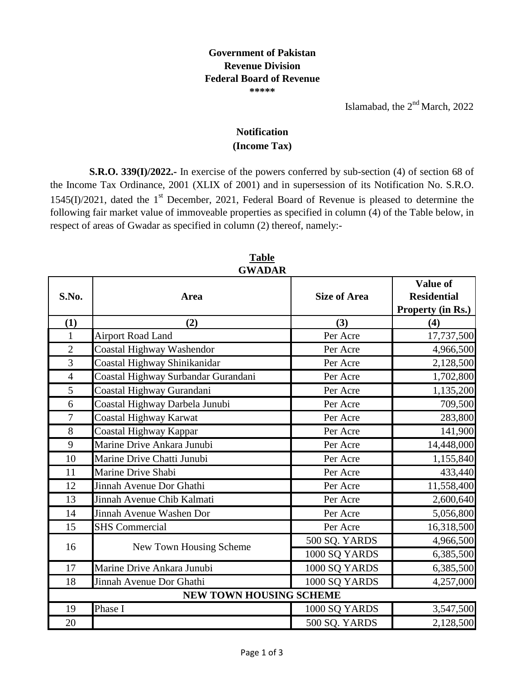## **Government of Pakistan Revenue Division Federal Board of Revenue \*\*\*\*\***

Islamabad, the  $2<sup>nd</sup> March$ , 2022

## **(Income Tax) Notification**

**S.R.O. 339(I)/2022.-** In exercise of the powers conferred by sub-section (4) of section 68 of the Income Tax Ordinance, 2001 (XLIX of 2001) and in supersession of its Notification No. S.R.O.  $1545(I)/2021$ , dated the 1<sup>st</sup> December, 2021, Federal Board of Revenue is pleased to determine the following fair market value of immoveable properties as specified in column (4) of the Table below, in respect of areas of Gwadar as specified in column (2) thereof, namely:-

|                         | GWADAR                              |                     |                                                     |  |  |
|-------------------------|-------------------------------------|---------------------|-----------------------------------------------------|--|--|
| S.No.                   | Area                                | <b>Size of Area</b> | Value of<br><b>Residential</b><br>Property (in Rs.) |  |  |
| (1)                     | (2)                                 | (3)                 | (4)                                                 |  |  |
| $\mathbf{1}$            | <b>Airport Road Land</b>            | Per Acre            | 17,737,500                                          |  |  |
| $\overline{2}$          | <b>Coastal Highway Washendor</b>    | Per Acre            | 4,966,500                                           |  |  |
| 3                       | Coastal Highway Shinikanidar        | Per Acre            | 2,128,500                                           |  |  |
| $\overline{4}$          | Coastal Highway Surbandar Gurandani | Per Acre            | 1,702,800                                           |  |  |
| 5                       | Coastal Highway Gurandani           | Per Acre            | 1,135,200                                           |  |  |
| 6                       | Coastal Highway Darbela Junubi      | Per Acre            | 709,500                                             |  |  |
| $\overline{7}$          | <b>Coastal Highway Karwat</b>       | Per Acre            | 283,800                                             |  |  |
| 8                       | Coastal Highway Kappar              | Per Acre            | 141,900                                             |  |  |
| 9                       | Marine Drive Ankara Junubi          | Per Acre            | 14,448,000                                          |  |  |
| 10                      | Marine Drive Chatti Junubi          | Per Acre            | 1,155,840                                           |  |  |
| 11                      | Marine Drive Shabi                  | Per Acre            | 433,440                                             |  |  |
| 12                      | Jinnah Avenue Dor Ghathi            | Per Acre            | 11,558,400                                          |  |  |
| 13                      | Jinnah Avenue Chib Kalmati          | Per Acre            | 2,600,640                                           |  |  |
| 14                      | Jinnah Avenue Washen Dor            | Per Acre            | 5,056,800                                           |  |  |
| 15                      | <b>SHS Commercial</b>               | Per Acre            | 16,318,500                                          |  |  |
| 16                      | New Town Housing Scheme             | 500 SQ. YARDS       | 4,966,500                                           |  |  |
|                         |                                     | 1000 SQ YARDS       | 6,385,500                                           |  |  |
| 17                      | Marine Drive Ankara Junubi          | 1000 SQ YARDS       | 6,385,500                                           |  |  |
| 18                      | Jinnah Avenue Dor Ghathi            | 1000 SQ YARDS       | 4,257,000                                           |  |  |
| NEW TOWN HOUSING SCHEME |                                     |                     |                                                     |  |  |
| 19                      | Phase I                             | 1000 SQ YARDS       | 3,547,500                                           |  |  |
| 20                      |                                     | 500 SQ. YARDS       | 2,128,500                                           |  |  |

**Table GWADAR**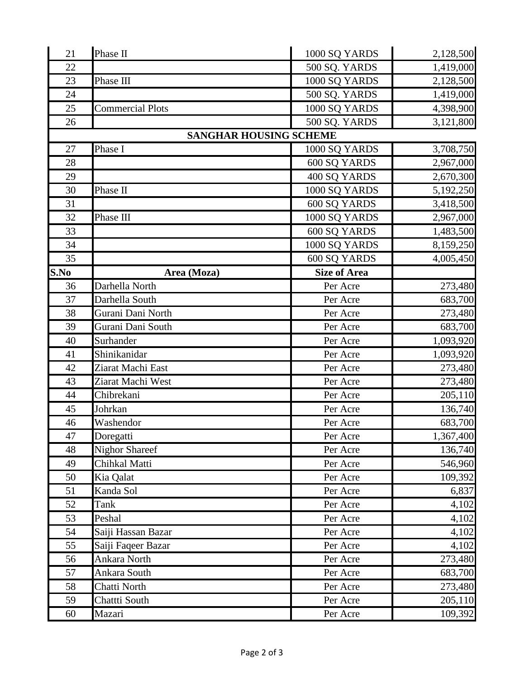| 21   | Phase II                | 1000 SQ YARDS                 | 2,128,500 |
|------|-------------------------|-------------------------------|-----------|
| 22   |                         | 500 SQ. YARDS                 | 1,419,000 |
| 23   | Phase III               | 1000 SQ YARDS                 | 2,128,500 |
| 24   |                         | 500 SQ. YARDS                 | 1,419,000 |
| 25   | <b>Commercial Plots</b> | 1000 SQ YARDS                 | 4,398,900 |
| 26   |                         | 500 SQ. YARDS                 | 3,121,800 |
|      |                         | <b>SANGHAR HOUSING SCHEME</b> |           |
| 27   | Phase I                 | 1000 SQ YARDS                 | 3,708,750 |
| 28   |                         | 600 SQ YARDS                  | 2,967,000 |
| 29   |                         | 400 SQ YARDS                  | 2,670,300 |
| 30   | Phase II                | 1000 SQ YARDS                 | 5,192,250 |
| 31   |                         | 600 SQ YARDS                  | 3,418,500 |
| 32   | Phase III               | 1000 SQ YARDS                 | 2,967,000 |
| 33   |                         | 600 SQ YARDS                  | 1,483,500 |
| 34   |                         | 1000 SQ YARDS                 | 8,159,250 |
| 35   |                         | 600 SQ YARDS                  | 4,005,450 |
| S.No | Area (Moza)             | <b>Size of Area</b>           |           |
| 36   | Darhella North          | Per Acre                      | 273,480   |
| 37   | Darhella South          | Per Acre                      | 683,700   |
| 38   | Gurani Dani North       | Per Acre                      | 273,480   |
| 39   | Gurani Dani South       | Per Acre                      | 683,700   |
| 40   | Surhander               | Per Acre                      | 1,093,920 |
| 41   | Shinikanidar            | Per Acre                      | 1,093,920 |
| 42   | Ziarat Machi East       | Per Acre                      | 273,480   |
| 43   | Ziarat Machi West       | Per Acre                      | 273,480   |
| 44   | Chibrekani              | Per Acre                      | 205,110   |
| 45   | Johrkan                 | Per Acre                      | 136,740   |
| 46   | Washendor               | Per Acre                      | 683,700   |
| 47   | Doregatti               | Per Acre                      | 1,367,400 |
| 48   | <b>Nighor Shareef</b>   | Per Acre                      | 136,740   |
| 49   | Chihkal Matti           | Per Acre                      | 546,960   |
| 50   | Kia Qalat               | Per Acre                      | 109,392   |
| 51   | Kanda Sol               | Per Acre                      | 6,837     |
| 52   | Tank                    | Per Acre                      | 4,102     |
| 53   | Peshal                  | Per Acre                      | 4,102     |
| 54   | Saiji Hassan Bazar      | Per Acre                      | 4,102     |
| 55   | Saiji Faqeer Bazar      | Per Acre                      | 4,102     |
| 56   | Ankara North            | Per Acre                      | 273,480   |
| 57   | Ankara South            | Per Acre                      | 683,700   |
| 58   | Chatti North            | Per Acre                      | 273,480   |
| 59   | Chattti South           | Per Acre                      | 205,110   |
| 60   | Mazari                  | Per Acre                      | 109,392   |